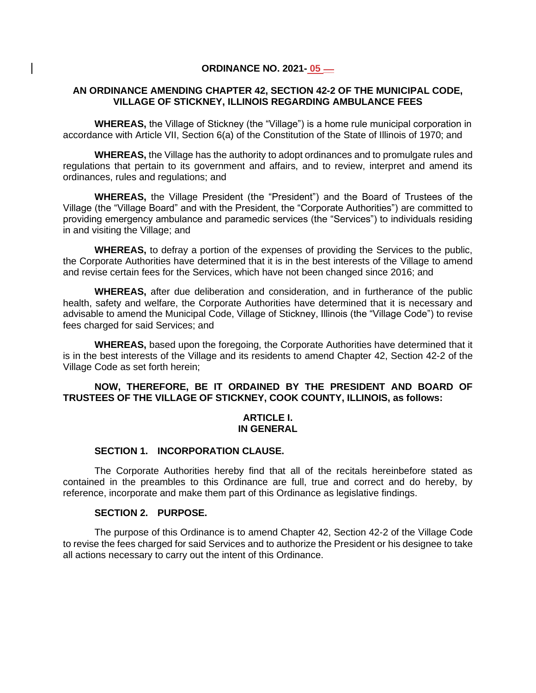#### **ORDINANCE NO. 2021- 05 \_\_**

#### **AN ORDINANCE AMENDING CHAPTER 42, SECTION 42-2 OF THE MUNICIPAL CODE, VILLAGE OF STICKNEY, ILLINOIS REGARDING AMBULANCE FEES**

**WHEREAS,** the Village of Stickney (the "Village") is a home rule municipal corporation in accordance with Article VII, Section 6(a) of the Constitution of the State of Illinois of 1970; and

**WHEREAS,** the Village has the authority to adopt ordinances and to promulgate rules and regulations that pertain to its government and affairs, and to review, interpret and amend its ordinances, rules and regulations; and

**WHEREAS,** the Village President (the "President") and the Board of Trustees of the Village (the "Village Board" and with the President, the "Corporate Authorities") are committed to providing emergency ambulance and paramedic services (the "Services") to individuals residing in and visiting the Village; and

**WHEREAS,** to defray a portion of the expenses of providing the Services to the public, the Corporate Authorities have determined that it is in the best interests of the Village to amend and revise certain fees for the Services, which have not been changed since 2016; and

**WHEREAS,** after due deliberation and consideration, and in furtherance of the public health, safety and welfare, the Corporate Authorities have determined that it is necessary and advisable to amend the Municipal Code, Village of Stickney, Illinois (the "Village Code") to revise fees charged for said Services; and

**WHEREAS,** based upon the foregoing, the Corporate Authorities have determined that it is in the best interests of the Village and its residents to amend Chapter 42, Section 42-2 of the Village Code as set forth herein;

# **NOW, THEREFORE, BE IT ORDAINED BY THE PRESIDENT AND BOARD OF TRUSTEES OF THE VILLAGE OF STICKNEY, COOK COUNTY, ILLINOIS, as follows:**

#### **ARTICLE I. IN GENERAL**

#### **SECTION 1. INCORPORATION CLAUSE.**

The Corporate Authorities hereby find that all of the recitals hereinbefore stated as contained in the preambles to this Ordinance are full, true and correct and do hereby, by reference, incorporate and make them part of this Ordinance as legislative findings.

# **SECTION 2. PURPOSE.**

The purpose of this Ordinance is to amend Chapter 42, Section 42-2 of the Village Code to revise the fees charged for said Services and to authorize the President or his designee to take all actions necessary to carry out the intent of this Ordinance.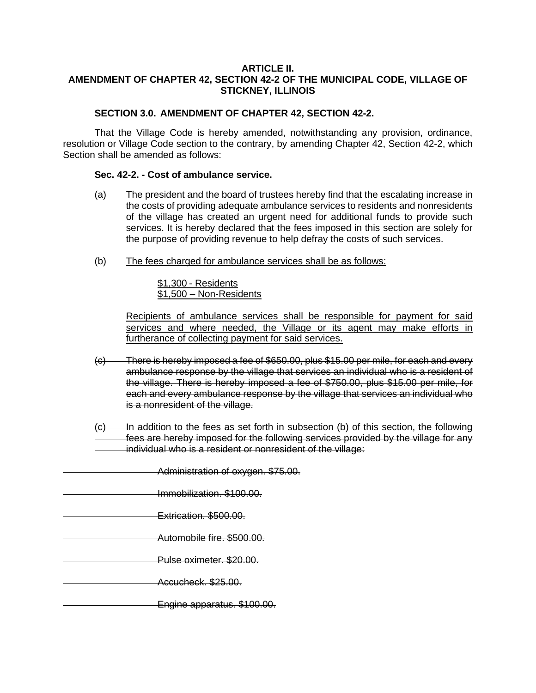### **ARTICLE II. AMENDMENT OF CHAPTER 42, SECTION 42-2 OF THE MUNICIPAL CODE, VILLAGE OF STICKNEY, ILLINOIS**

# **SECTION 3.0. AMENDMENT OF CHAPTER 42, SECTION 42-2.**

That the Village Code is hereby amended, notwithstanding any provision, ordinance, resolution or Village Code section to the contrary, by amending Chapter 42, Section 42-2, which Section shall be amended as follows:

## **Sec. 42-2. - Cost of ambulance service.**

- (a) The president and the board of trustees hereby find that the escalating increase in the costs of providing adequate ambulance services to residents and nonresidents of the village has created an urgent need for additional funds to provide such services. It is hereby declared that the fees imposed in this section are solely for the purpose of providing revenue to help defray the costs of such services.
- (b) The fees charged for ambulance services shall be as follows:

\$1,300 - Residents \$1,500 – Non-Residents

Recipients of ambulance services shall be responsible for payment for said services and where needed, the Village or its agent may make efforts in furtherance of collecting payment for said services.

- (c) There is hereby imposed a fee of \$650.00, plus \$15.00 per mile, for each and every ambulance response by the village that services an individual who is a resident of the village. There is hereby imposed a fee of \$750.00, plus \$15.00 per mile, for each and every ambulance response by the village that services an individual who is a nonresident of the village.
- (c) In addition to the fees as set forth in subsection (b) of this section, the following fees are hereby imposed for the following services provided by the village for any individual who is a resident or nonresident of the village:
	- Administration of oxygen. \$75.00.
- Immobilization. \$100.00.
- Extrication. \$500.00.
- Automobile fire. \$500.00.
- Pulse oximeter. \$20.00.
- Accucheck. \$25.00.
	- Engine apparatus. \$100.00.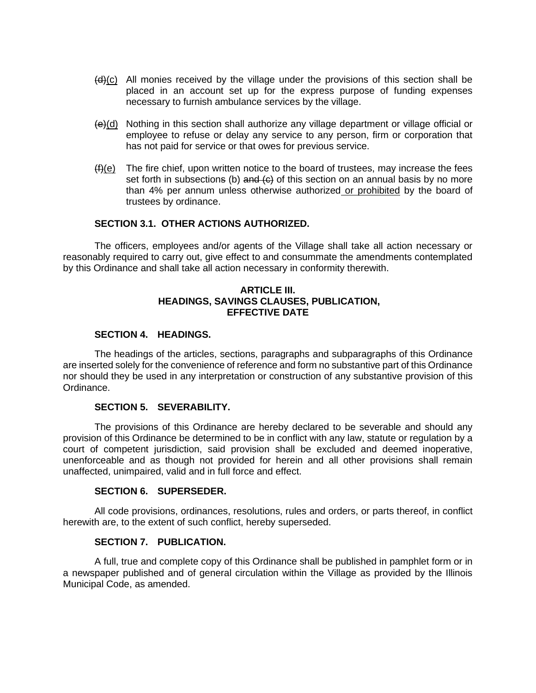- $(d)$ (c) All monies received by the village under the provisions of this section shall be placed in an account set up for the express purpose of funding expenses necessary to furnish ambulance services by the village.
- $\left(\frac{e}{e}\right)$  Nothing in this section shall authorize any village department or village official or employee to refuse or delay any service to any person, firm or corporation that has not paid for service or that owes for previous service.
- $(f)(e)$  The fire chief, upon written notice to the board of trustees, may increase the fees set forth in subsections (b) and  $\leftrightarrow$  of this section on an annual basis by no more than 4% per annum unless otherwise authorized or prohibited by the board of trustees by ordinance.

### **SECTION 3.1. OTHER ACTIONS AUTHORIZED.**

The officers, employees and/or agents of the Village shall take all action necessary or reasonably required to carry out, give effect to and consummate the amendments contemplated by this Ordinance and shall take all action necessary in conformity therewith.

### **ARTICLE III. HEADINGS, SAVINGS CLAUSES, PUBLICATION, EFFECTIVE DATE**

### **SECTION 4. HEADINGS.**

The headings of the articles, sections, paragraphs and subparagraphs of this Ordinance are inserted solely for the convenience of reference and form no substantive part of this Ordinance nor should they be used in any interpretation or construction of any substantive provision of this Ordinance.

### **SECTION 5. SEVERABILITY.**

The provisions of this Ordinance are hereby declared to be severable and should any provision of this Ordinance be determined to be in conflict with any law, statute or regulation by a court of competent jurisdiction, said provision shall be excluded and deemed inoperative, unenforceable and as though not provided for herein and all other provisions shall remain unaffected, unimpaired, valid and in full force and effect.

### **SECTION 6. SUPERSEDER.**

All code provisions, ordinances, resolutions, rules and orders, or parts thereof, in conflict herewith are, to the extent of such conflict, hereby superseded.

#### **SECTION 7. PUBLICATION.**

A full, true and complete copy of this Ordinance shall be published in pamphlet form or in a newspaper published and of general circulation within the Village as provided by the Illinois Municipal Code, as amended.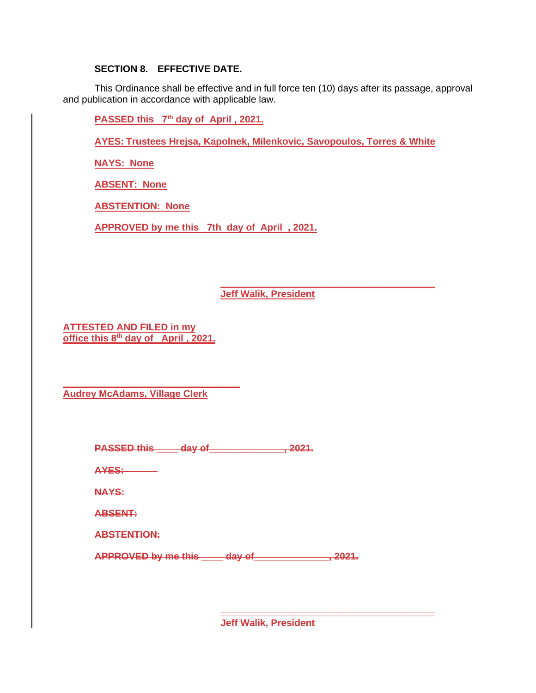# **SECTION 8. EFFECTIVE DATE.**

This Ordinance shall be effective and in full force ten (10) days after its passage, approval and publication in accordance with applicable law.

**PASSED** this 7<sup>th</sup> day of April, 2021.

**AYES: Trustees Hrejsa, Kapolnek, Milenkovic, Savopoulos, Torres & White**

**NAYS: None**

**ABSENT: None**

**ABSTENTION: None**

**APPROVED by me this 7th day of April , 2021.**

**Jeff Walik, President**

**\_\_\_\_\_\_\_\_\_\_\_\_\_\_\_\_\_\_\_\_\_\_\_\_\_\_\_\_\_\_\_\_\_\_\_\_\_\_\_\_**

**ATTESTED AND FILED in my office this 8 th day of April , 2021.**

**\_\_\_\_\_\_\_\_\_\_\_\_\_\_\_\_\_\_\_\_\_\_\_\_\_\_\_\_\_\_\_\_\_ Audrey McAdams, Village Clerk**

| <b>DACCED this</b> | $div$ of           | ∍מר    |
|--------------------|--------------------|--------|
| ГЛУУН ИНО          | <u> Electronic</u> | ------ |

**AYES:**

**NAYS:**

**ABSENT:**

**ABSTENTION:**

**APPROVED by me this \_\_\_\_ day of\_\_\_\_\_\_\_\_\_\_\_\_\_\_, 2021.**

**\_\_\_\_\_\_\_\_\_\_\_\_\_\_\_\_\_\_\_\_\_\_\_\_\_\_\_\_\_\_\_\_\_\_\_\_\_\_\_\_ Jeff Walik, President**